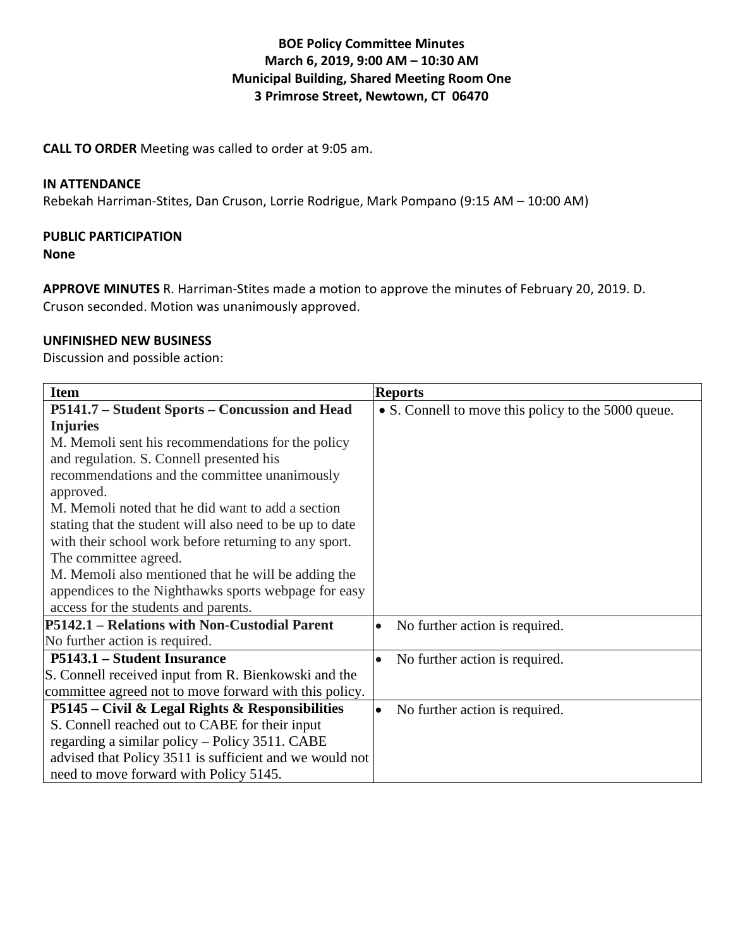# **BOE Policy Committee Minutes March 6, 2019, 9:00 AM – 10:30 AM Municipal Building, Shared Meeting Room One 3 Primrose Street, Newtown, CT 06470**

**CALL TO ORDER** Meeting was called to order at 9:05 am.

### **IN ATTENDANCE**

Rebekah Harriman-Stites, Dan Cruson, Lorrie Rodrigue, Mark Pompano (9:15 AM – 10:00 AM)

### **PUBLIC PARTICIPATION**

#### **None**

**APPROVE MINUTES** R. Harriman-Stites made a motion to approve the minutes of February 20, 2019. D. Cruson seconded. Motion was unanimously approved.

### **UNFINISHED NEW BUSINESS**

Discussion and possible action:

| <b>Item</b>                                              | <b>Reports</b>                                      |
|----------------------------------------------------------|-----------------------------------------------------|
| P5141.7 – Student Sports – Concussion and Head           | • S. Connell to move this policy to the 5000 queue. |
| <b>Injuries</b>                                          |                                                     |
| M. Memoli sent his recommendations for the policy        |                                                     |
| and regulation. S. Connell presented his                 |                                                     |
| recommendations and the committee unanimously            |                                                     |
| approved.                                                |                                                     |
| M. Memoli noted that he did want to add a section        |                                                     |
| stating that the student will also need to be up to date |                                                     |
| with their school work before returning to any sport.    |                                                     |
| The committee agreed.                                    |                                                     |
| M. Memoli also mentioned that he will be adding the      |                                                     |
| appendices to the Nighthawks sports webpage for easy     |                                                     |
| access for the students and parents.                     |                                                     |
| P5142.1 – Relations with Non-Custodial Parent            | No further action is required.<br>$\bullet$         |
| No further action is required.                           |                                                     |
| P5143.1 – Student Insurance                              | No further action is required.<br>$\bullet$         |
| S. Connell received input from R. Bienkowski and the     |                                                     |
| committee agreed not to move forward with this policy.   |                                                     |
| P5145 – Civil & Legal Rights & Responsibilities          | No further action is required.<br>$\bullet$         |
| S. Connell reached out to CABE for their input           |                                                     |
| regarding a similar policy – Policy 3511. CABE           |                                                     |
| advised that Policy 3511 is sufficient and we would not  |                                                     |
| need to move forward with Policy 5145.                   |                                                     |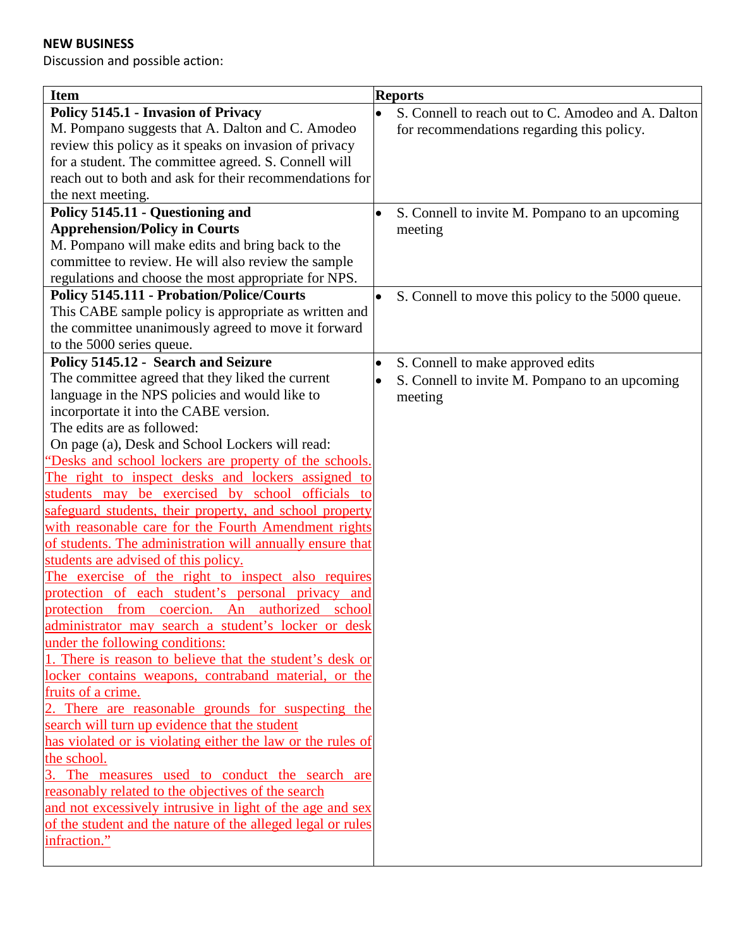# **NEW BUSINESS**

Discussion and possible action:

| <b>Item</b>                                                 | <b>Reports</b>                                                  |
|-------------------------------------------------------------|-----------------------------------------------------------------|
| Policy 5145.1 - Invasion of Privacy                         | S. Connell to reach out to C. Amodeo and A. Dalton<br>$\bullet$ |
| M. Pompano suggests that A. Dalton and C. Amodeo            | for recommendations regarding this policy.                      |
| review this policy as it speaks on invasion of privacy      |                                                                 |
| for a student. The committee agreed. S. Connell will        |                                                                 |
| reach out to both and ask for their recommendations for     |                                                                 |
| the next meeting.                                           |                                                                 |
| Policy 5145.11 - Questioning and                            | S. Connell to invite M. Pompano to an upcoming<br>$\bullet$     |
| <b>Apprehension/Policy in Courts</b>                        | meeting                                                         |
| M. Pompano will make edits and bring back to the            |                                                                 |
| committee to review. He will also review the sample         |                                                                 |
| regulations and choose the most appropriate for NPS.        |                                                                 |
| <b>Policy 5145.111 - Probation/Police/Courts</b>            |                                                                 |
|                                                             | S. Connell to move this policy to the 5000 queue.<br>$\bullet$  |
| This CABE sample policy is appropriate as written and       |                                                                 |
| the committee unanimously agreed to move it forward         |                                                                 |
| to the 5000 series queue.                                   |                                                                 |
| Policy 5145.12 - Search and Seizure                         | S. Connell to make approved edits<br>$\bullet$                  |
| The committee agreed that they liked the current            | S. Connell to invite M. Pompano to an upcoming<br>$\bullet$     |
| language in the NPS policies and would like to              | meeting                                                         |
| incorportate it into the CABE version.                      |                                                                 |
| The edits are as followed:                                  |                                                                 |
| On page (a), Desk and School Lockers will read:             |                                                                 |
| "Desks and school lockers are property of the schools.      |                                                                 |
| The right to inspect desks and lockers assigned to          |                                                                 |
| students may be exercised by school officials to            |                                                                 |
| safeguard students, their property, and school property     |                                                                 |
| with reasonable care for the Fourth Amendment rights        |                                                                 |
| of students. The administration will annually ensure that   |                                                                 |
| students are advised of this policy.                        |                                                                 |
| The exercise of the right to inspect also requires          |                                                                 |
| protection of each student's personal privacy and           |                                                                 |
| from coercion. An authorized school<br>protection           |                                                                 |
| administrator may search a student's locker or desk         |                                                                 |
| under the following conditions:                             |                                                                 |
| 1. There is reason to believe that the student's desk or    |                                                                 |
| locker contains weapons, contraband material, or the        |                                                                 |
| fruits of a crime.                                          |                                                                 |
| 2. There are reasonable grounds for suspecting the          |                                                                 |
| search will turn up evidence that the student               |                                                                 |
| has violated or is violating either the law or the rules of |                                                                 |
| the school.                                                 |                                                                 |
| 3. The measures used to conduct the search are              |                                                                 |
| reasonably related to the objectives of the search          |                                                                 |
| and not excessively intrusive in light of the age and sex   |                                                                 |
| of the student and the nature of the alleged legal or rules |                                                                 |
| infraction."                                                |                                                                 |
|                                                             |                                                                 |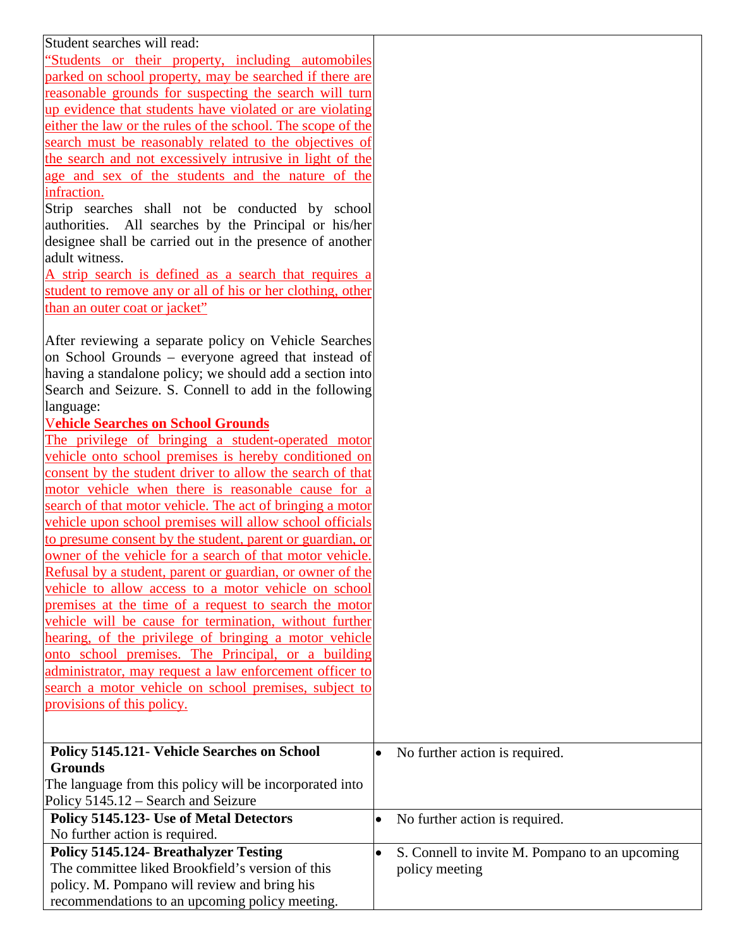| Student searches will read:                                 |                                                             |
|-------------------------------------------------------------|-------------------------------------------------------------|
| "Students or their property, including automobiles"         |                                                             |
| parked on school property, may be searched if there are     |                                                             |
| reasonable grounds for suspecting the search will turn      |                                                             |
| up evidence that students have violated or are violating    |                                                             |
| either the law or the rules of the school. The scope of the |                                                             |
| search must be reasonably related to the objectives of      |                                                             |
| the search and not excessively intrusive in light of the    |                                                             |
| age and sex of the students and the nature of the           |                                                             |
| infraction.                                                 |                                                             |
| Strip searches shall not be conducted by school             |                                                             |
| authorities. All searches by the Principal or his/her       |                                                             |
| designee shall be carried out in the presence of another    |                                                             |
| adult witness.                                              |                                                             |
| A strip search is defined as a search that requires a       |                                                             |
| student to remove any or all of his or her clothing, other  |                                                             |
| than an outer coat or jacket"                               |                                                             |
|                                                             |                                                             |
| After reviewing a separate policy on Vehicle Searches       |                                                             |
| on School Grounds - everyone agreed that instead of         |                                                             |
| having a standalone policy; we should add a section into    |                                                             |
| Search and Seizure. S. Connell to add in the following      |                                                             |
| language:                                                   |                                                             |
| <b>Vehicle Searches on School Grounds</b>                   |                                                             |
| The privilege of bringing a student-operated motor          |                                                             |
| vehicle onto school premises is hereby conditioned on       |                                                             |
| consent by the student driver to allow the search of that   |                                                             |
| motor vehicle when there is reasonable cause for a          |                                                             |
| search of that motor vehicle. The act of bringing a motor   |                                                             |
| vehicle upon school premises will allow school officials    |                                                             |
| to presume consent by the student, parent or guardian, or   |                                                             |
| owner of the vehicle for a search of that motor vehicle.    |                                                             |
| Refusal by a student, parent or guardian, or owner of the   |                                                             |
| vehicle to allow access to a motor vehicle on school        |                                                             |
| premises at the time of a request to search the motor       |                                                             |
| vehicle will be cause for termination, without further      |                                                             |
| hearing, of the privilege of bringing a motor vehicle       |                                                             |
| onto school premises. The Principal, or a building          |                                                             |
| administrator, may request a law enforcement officer to     |                                                             |
| search a motor vehicle on school premises, subject to       |                                                             |
| provisions of this policy.                                  |                                                             |
|                                                             |                                                             |
|                                                             |                                                             |
| Policy 5145.121- Vehicle Searches on School                 | No further action is required.<br>$\bullet$                 |
| <b>Grounds</b>                                              |                                                             |
| The language from this policy will be incorporated into     |                                                             |
| Policy 5145.12 – Search and Seizure                         |                                                             |
| Policy 5145.123- Use of Metal Detectors                     | No further action is required.<br>$\bullet$                 |
| No further action is required.                              |                                                             |
| <b>Policy 5145.124- Breathalyzer Testing</b>                | S. Connell to invite M. Pompano to an upcoming<br>$\bullet$ |
| The committee liked Brookfield's version of this            | policy meeting                                              |
| policy. M. Pompano will review and bring his                |                                                             |
| recommendations to an upcoming policy meeting.              |                                                             |